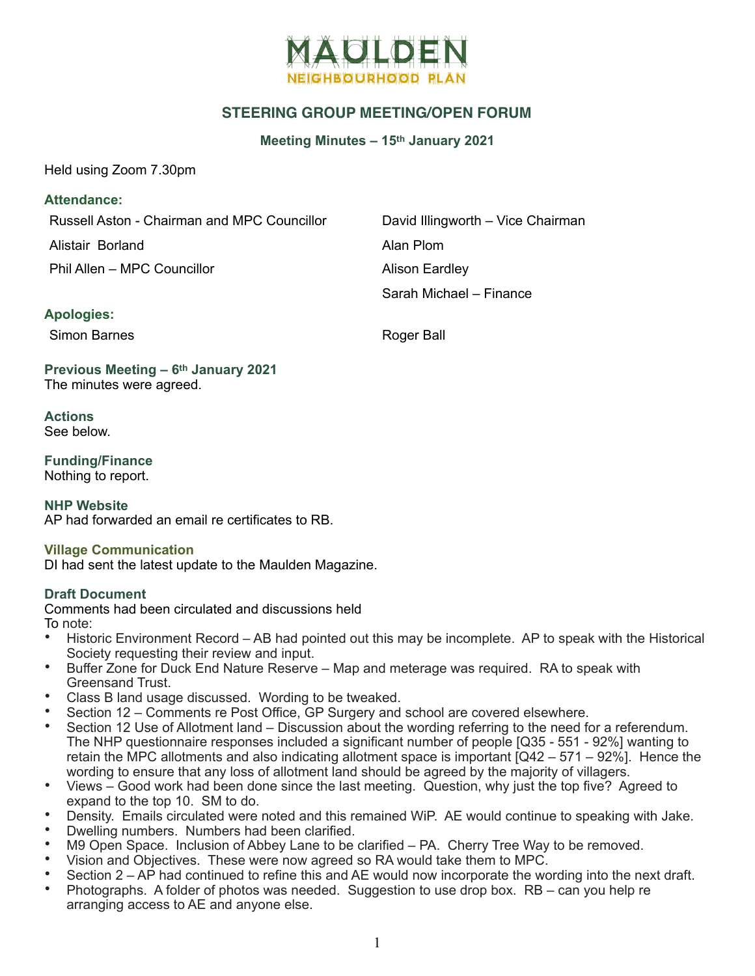

## **STEERING GROUP MEETING/OPEN FORUM**

**Meeting Minutes – 15th January 2021**

Held using Zoom 7.30pm

### **Attendance:**

Russell Aston - Chairman and MPC Councillor David Illingworth – Vice Chairman

Alistair Borland **Alistair Borland** 

Phil Allen – MPC Councillor **Alison Eardley** 

Sarah Michael – Finance

### **Apologies:**

Simon Barnes **Roger Ball** 

**Previous Meeting – 6th January 2021**  The minutes were agreed.

**Actions**  See below.

**Funding/Finance**  Nothing to report.

**NHP Website**  AP had forwarded an email re certificates to RB.

#### **Village Communication**

DI had sent the latest update to the Maulden Magazine.

#### **Draft Document**

Comments had been circulated and discussions held To note:

- Historic Environment Record AB had pointed out this may be incomplete. AP to speak with the Historical Society requesting their review and input.
- Buffer Zone for Duck End Nature Reserve Map and meterage was required. RA to speak with Greensand Trust.
- Class B land usage discussed. Wording to be tweaked.
- Section 12 Comments re Post Office, GP Surgery and school are covered elsewhere.
- Section 12 Use of Allotment land Discussion about the wording referring to the need for a referendum. The NHP questionnaire responses included a significant number of people [Q35 - 551 - 92%] wanting to retain the MPC allotments and also indicating allotment space is important [Q42 – 571 – 92%]. Hence the wording to ensure that any loss of allotment land should be agreed by the majority of villagers.
- Views Good work had been done since the last meeting. Question, why just the top five? Agreed to expand to the top 10. SM to do.
- Density. Emails circulated were noted and this remained WiP. AE would continue to speaking with Jake.
- Dwelling numbers. Numbers had been clarified.
- M9 Open Space. Inclusion of Abbey Lane to be clarified PA. Cherry Tree Way to be removed.
- Vision and Objectives. These were now agreed so RA would take them to MPC.
- Section 2 AP had continued to refine this and AE would now incorporate the wording into the next draft.
- Photographs. A folder of photos was needed. Suggestion to use drop box. RB can you help re arranging access to AE and anyone else.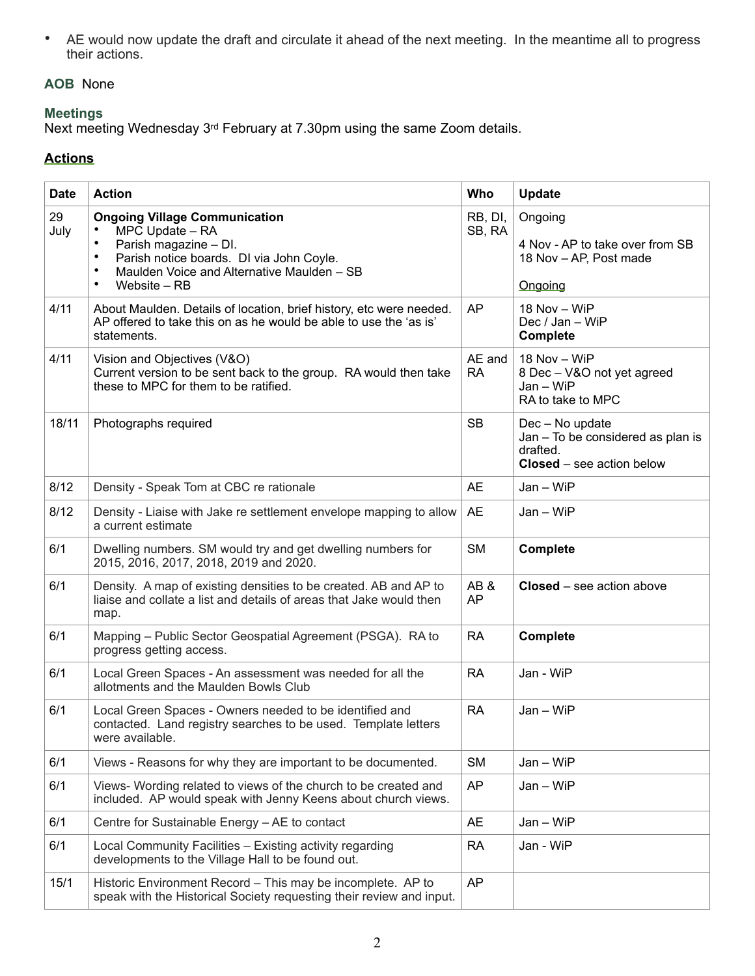• AE would now update the draft and circulate it ahead of the next meeting. In the meantime all to progress their actions.

# **AOB** None

## **Meetings**

Next meeting Wednesday 3rd February at 7.30pm using the same Zoom details.

# **Actions**

| <b>Date</b> | <b>Action</b>                                                                                                                                                                                                                                  | Who                 | <b>Update</b>                                                                                        |
|-------------|------------------------------------------------------------------------------------------------------------------------------------------------------------------------------------------------------------------------------------------------|---------------------|------------------------------------------------------------------------------------------------------|
| 29<br>July  | <b>Ongoing Village Communication</b><br>MPC Update - RA<br>$\bullet$<br>Parish magazine - DI.<br>$\bullet$<br>Parish notice boards. DI via John Coyle.<br>Maulden Voice and Alternative Maulden - SB<br>$\bullet$<br>Website - RB<br>$\bullet$ | RB, DI,<br>SB, RA   | Ongoing<br>4 Nov - AP to take over from SB<br>18 Nov - AP, Post made<br>Ongoing                      |
| 4/11        | About Maulden. Details of location, brief history, etc were needed.<br>AP offered to take this on as he would be able to use the 'as is'<br>statements.                                                                                        | <b>AP</b>           | 18 Nov - WiP<br>Dec / Jan - WiP<br><b>Complete</b>                                                   |
| 4/11        | Vision and Objectives (V&O)<br>Current version to be sent back to the group. RA would then take<br>these to MPC for them to be ratified.                                                                                                       | AE and<br><b>RA</b> | 18 Nov - WiP<br>8 Dec - V&O not yet agreed<br>Jan - WiP<br>RA to take to MPC                         |
| 18/11       | Photographs required                                                                                                                                                                                                                           | <b>SB</b>           | Dec - No update<br>Jan - To be considered as plan is<br>drafted.<br><b>Closed</b> – see action below |
| 8/12        | Density - Speak Tom at CBC re rationale                                                                                                                                                                                                        | <b>AE</b>           | Jan - WiP                                                                                            |
| 8/12        | Density - Liaise with Jake re settlement envelope mapping to allow<br>a current estimate                                                                                                                                                       | <b>AE</b>           | $Jan - WiFi$                                                                                         |
| 6/1         | Dwelling numbers. SM would try and get dwelling numbers for<br>2015, 2016, 2017, 2018, 2019 and 2020.                                                                                                                                          | <b>SM</b>           | <b>Complete</b>                                                                                      |
| 6/1         | Density. A map of existing densities to be created. AB and AP to<br>liaise and collate a list and details of areas that Jake would then<br>map.                                                                                                | AB&<br><b>AP</b>    | <b>Closed</b> – see action above                                                                     |
| 6/1         | Mapping - Public Sector Geospatial Agreement (PSGA). RA to<br>progress getting access.                                                                                                                                                         | <b>RA</b>           | <b>Complete</b>                                                                                      |
| 6/1         | Local Green Spaces - An assessment was needed for all the<br>allotments and the Maulden Bowls Club                                                                                                                                             | <b>RA</b>           | Jan - WiP                                                                                            |
| 6/1         | Local Green Spaces - Owners needed to be identified and<br>contacted. Land registry searches to be used. Template letters<br>were available.                                                                                                   | <b>RA</b>           | Jan - WiP                                                                                            |
| 6/1         | Views - Reasons for why they are important to be documented.                                                                                                                                                                                   | <b>SM</b>           | Jan - WiP                                                                                            |
| 6/1         | Views- Wording related to views of the church to be created and<br>included. AP would speak with Jenny Keens about church views.                                                                                                               | <b>AP</b>           | Jan - WiP                                                                                            |
| 6/1         | Centre for Sustainable Energy - AE to contact                                                                                                                                                                                                  | <b>AE</b>           | Jan - WiP                                                                                            |
| 6/1         | Local Community Facilities - Existing activity regarding<br>developments to the Village Hall to be found out.                                                                                                                                  | <b>RA</b>           | Jan - WiP                                                                                            |
| 15/1        | Historic Environment Record - This may be incomplete. AP to<br>speak with the Historical Society requesting their review and input.                                                                                                            | <b>AP</b>           |                                                                                                      |